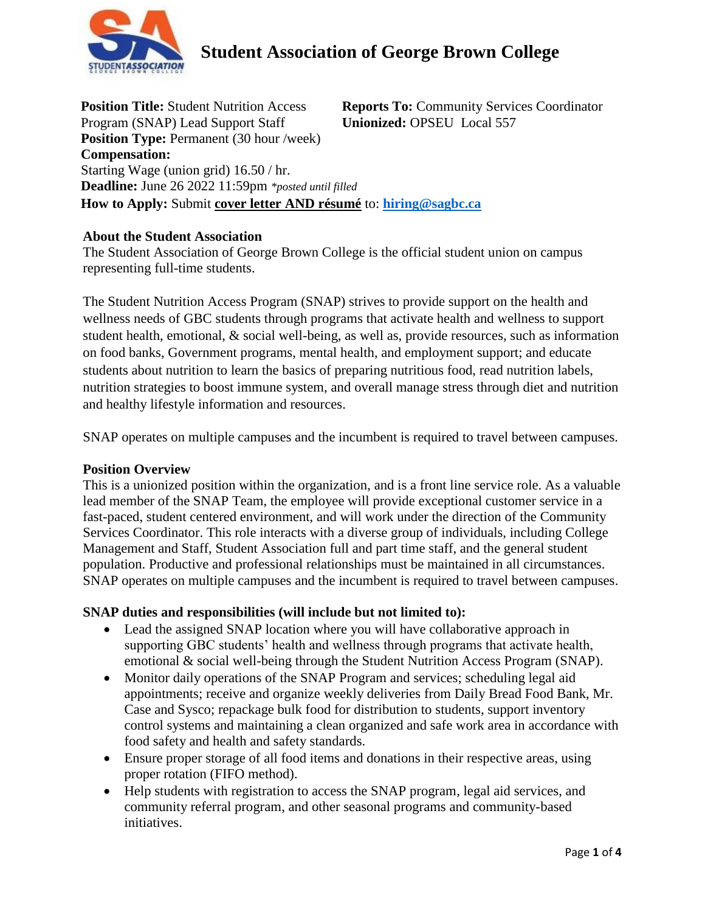

**Position Title:** Student Nutrition Access Program (SNAP) Lead Support Staff **Reports To:** Community Services Coordinator **Unionized:** OPSEU Local 557 **Position Type:** Permanent (30 hour /week) **Compensation:** Starting Wage (union grid) 16.50 / hr. **Deadline:** June 26 2022 11:59pm *\*posted until filled* **How to Apply:** Submit **cover letter AND résumé** to: **[hiring@sagbc.ca](mailto:humanresources@sagbc.ca)**

### **About the Student Association**

The Student Association of George Brown College is the official student union on campus representing full-time students.

The Student Nutrition Access Program (SNAP) strives to provide support on the health and wellness needs of GBC students through programs that activate health and wellness to support student health, emotional, & social well-being, as well as, provide resources, such as information on food banks, Government programs, mental health, and employment support; and educate students about nutrition to learn the basics of preparing nutritious food, read nutrition labels, nutrition strategies to boost immune system, and overall manage stress through diet and nutrition and healthy lifestyle information and resources.

SNAP operates on multiple campuses and the incumbent is required to travel between campuses.

#### **Position Overview**

This is a unionized position within the organization, and is a front line service role. As a valuable lead member of the SNAP Team, the employee will provide exceptional customer service in a fast-paced, student centered environment, and will work under the direction of the Community Services Coordinator. This role interacts with a diverse group of individuals, including College Management and Staff, Student Association full and part time staff, and the general student population. Productive and professional relationships must be maintained in all circumstances. SNAP operates on multiple campuses and the incumbent is required to travel between campuses.

#### **SNAP duties and responsibilities (will include but not limited to):**

- Lead the assigned SNAP location where you will have collaborative approach in supporting GBC students' health and wellness through programs that activate health, emotional & social well-being through the Student Nutrition Access Program (SNAP).
- Monitor daily operations of the SNAP Program and services; scheduling legal aid appointments; receive and organize weekly deliveries from Daily Bread Food Bank, Mr. Case and Sysco; repackage bulk food for distribution to students, support inventory control systems and maintaining a clean organized and safe work area in accordance with food safety and health and safety standards.
- Ensure proper storage of all food items and donations in their respective areas, using proper rotation (FIFO method).
- Help students with registration to access the SNAP program, legal aid services, and community referral program, and other seasonal programs and community-based initiatives.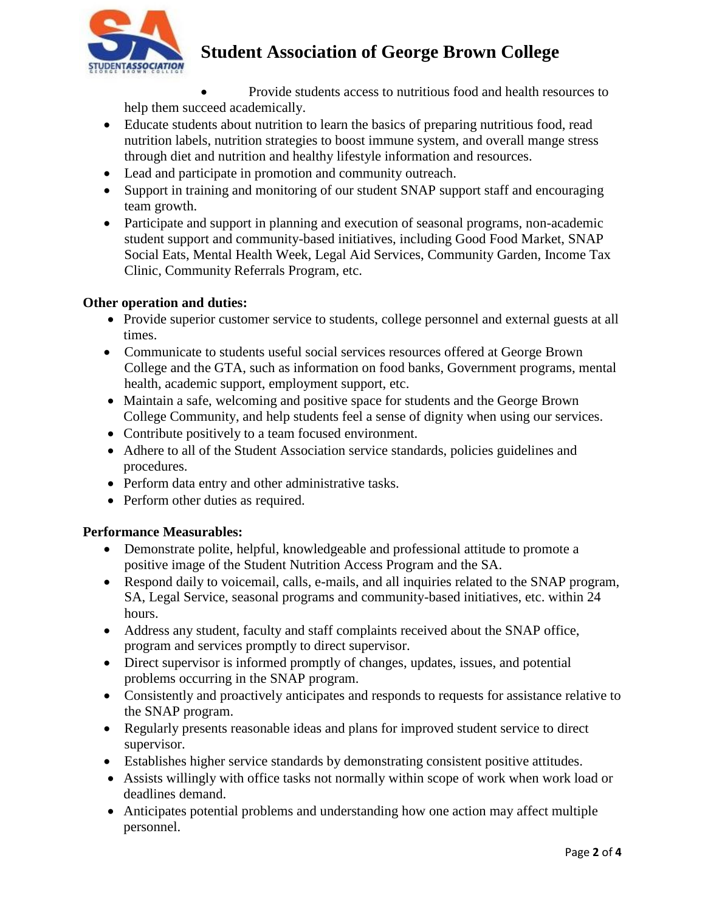

 Provide students access to nutritious food and health resources to help them succeed academically.

- Educate students about nutrition to learn the basics of preparing nutritious food, read nutrition labels, nutrition strategies to boost immune system, and overall mange stress through diet and nutrition and healthy lifestyle information and resources.
- Lead and participate in promotion and community outreach.
- Support in training and monitoring of our student SNAP support staff and encouraging team growth.
- Participate and support in planning and execution of seasonal programs, non-academic student support and community-based initiatives, including Good Food Market, SNAP Social Eats, Mental Health Week, Legal Aid Services, Community Garden, Income Tax Clinic, Community Referrals Program, etc.

### **Other operation and duties:**

- Provide superior customer service to students, college personnel and external guests at all times.
- Communicate to students useful social services resources offered at George Brown College and the GTA, such as information on food banks, Government programs, mental health, academic support, employment support, etc.
- Maintain a safe, welcoming and positive space for students and the George Brown College Community, and help students feel a sense of dignity when using our services.
- Contribute positively to a team focused environment.
- Adhere to all of the Student Association service standards, policies guidelines and procedures.
- Perform data entry and other administrative tasks.
- Perform other duties as required.

#### **Performance Measurables:**

- Demonstrate polite, helpful, knowledgeable and professional attitude to promote a positive image of the Student Nutrition Access Program and the SA.
- Respond daily to voicemail, calls, e-mails, and all inquiries related to the SNAP program, SA, Legal Service, seasonal programs and community-based initiatives, etc. within 24 hours.
- Address any student, faculty and staff complaints received about the SNAP office, program and services promptly to direct supervisor.
- Direct supervisor is informed promptly of changes, updates, issues, and potential problems occurring in the SNAP program.
- Consistently and proactively anticipates and responds to requests for assistance relative to the SNAP program.
- Regularly presents reasonable ideas and plans for improved student service to direct supervisor.
- Establishes higher service standards by demonstrating consistent positive attitudes.
- Assists willingly with office tasks not normally within scope of work when work load or deadlines demand.
- Anticipates potential problems and understanding how one action may affect multiple personnel.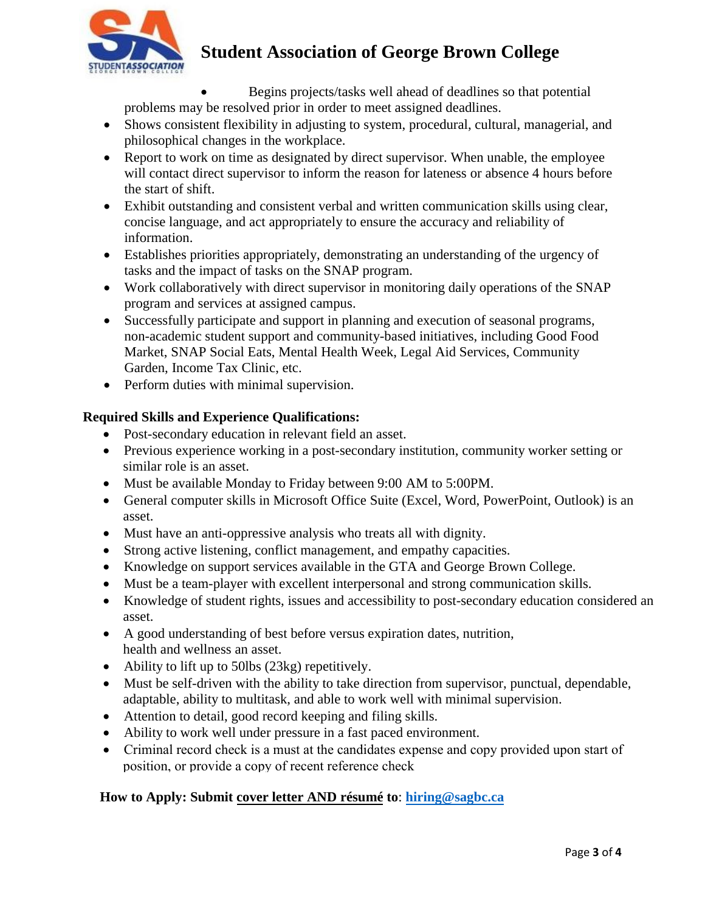

 Begins projects/tasks well ahead of deadlines so that potential problems may be resolved prior in order to meet assigned deadlines.

- Shows consistent flexibility in adjusting to system, procedural, cultural, managerial, and philosophical changes in the workplace.
- Report to work on time as designated by direct supervisor. When unable, the employee will contact direct supervisor to inform the reason for lateness or absence 4 hours before the start of shift.
- Exhibit outstanding and consistent verbal and written communication skills using clear, concise language, and act appropriately to ensure the accuracy and reliability of information.
- Establishes priorities appropriately, demonstrating an understanding of the urgency of tasks and the impact of tasks on the SNAP program.
- Work collaboratively with direct supervisor in monitoring daily operations of the SNAP program and services at assigned campus.
- Successfully participate and support in planning and execution of seasonal programs, non-academic student support and community-based initiatives, including Good Food Market, SNAP Social Eats, Mental Health Week, Legal Aid Services, Community Garden, Income Tax Clinic, etc.
- Perform duties with minimal supervision.

## **Required Skills and Experience Qualifications:**

- Post-secondary education in relevant field an asset.
- Previous experience working in a post-secondary institution, community worker setting or similar role is an asset.
- Must be available Monday to Friday between 9:00 AM to 5:00PM.
- General computer skills in Microsoft Office Suite (Excel, Word, PowerPoint, Outlook) is an asset.
- Must have an anti-oppressive analysis who treats all with dignity.
- Strong active listening, conflict management, and empathy capacities.
- Knowledge on support services available in the GTA and George Brown College.
- Must be a team-player with excellent interpersonal and strong communication skills.
- Knowledge of student rights, issues and accessibility to post-secondary education considered an asset.
- A good understanding of best before versus expiration dates, nutrition, health and wellness an asset.
- Ability to lift up to 50lbs (23kg) repetitively.
- Must be self-driven with the ability to take direction from supervisor, punctual, dependable, adaptable, ability to multitask, and able to work well with minimal supervision.
- Attention to detail, good record keeping and filing skills.
- Ability to work well under pressure in a fast paced environment.
- Criminal record check is a must at the candidates expense and copy provided upon start of position, or provide a copy of recent reference [check](mailto:humanresources@sagbc.ca)

### **How to Apply: Submit cover letter AND résumé to**: **hiring@sagbc.ca**